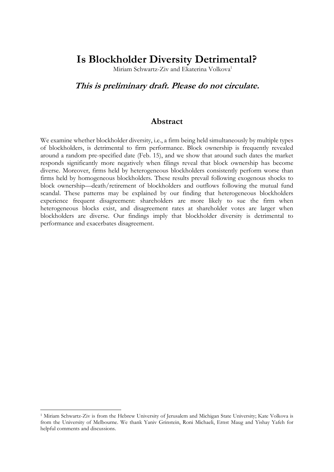## **Is Blockholder Diversity Detrimental?**

Miriam Schwartz-Ziv and Ekaterina Volkova<sup>1</sup>

## **This is preliminary draft. Please do not circulate.**

## **Abstract**

We examine whether blockholder diversity, i.e., a firm being held simultaneously by multiple types of blockholders, is detrimental to firm performance. Block ownership is frequently revealed around a random pre-specified date (Feb. 15), and we show that around such dates the market responds significantly more negatively when filings reveal that block ownership has become diverse. Moreover, firms held by heterogeneous blockholders consistently perform worse than firms held by homogeneous blockholders. These results prevail following exogenous shocks to block ownership—death/retirement of blockholders and outflows following the mutual fund scandal. These patterns may be explained by our finding that heterogeneous blockholders experience frequent disagreement: shareholders are more likely to sue the firm when heterogeneous blocks exist, and disagreement rates at shareholder votes are larger when blockholders are diverse. Our findings imply that blockholder diversity is detrimental to performance and exacerbates disagreement.

1

<sup>1</sup> Miriam Schwartz-Ziv is from the Hebrew University of Jerusalem and Michigan State University; Kate Volkova is from the University of Melbourne. We thank Yaniv Grinstein, Roni Michaeli, Ernst Maug and Yishay Yafeh for helpful comments and discussions.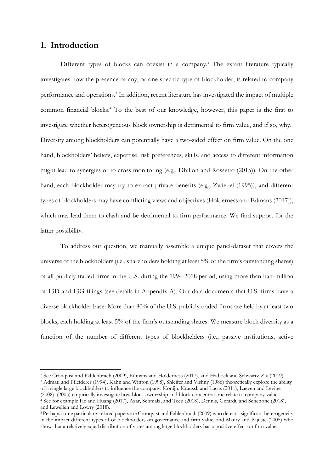## **1. Introduction**

1

Different types of blocks can coexist in a company. <sup>2</sup> The extant literature typically investigates how the presence of any, or one specific type of blockholder, is related to company performance and operations. 3 In addition, recent literature has investigated the impact of multiple common financial blocks.<sup>4</sup> To the best of our knowledge, however, this paper is the first to investigate whether heterogeneous block ownership is detrimental to firm value, and if so, why. 5 Diversity among blockholders can potentially have a two-sided effect on firm value. On the one hand, blockholders' beliefs, expertise, risk preferences, skills, and access to different information might lead to synergies or to cross monitoring (e.g., Dhillon and Rossetto (2015)). On the other hand, each blockholder may try to extract private benefits (e.g., Zwiebel (1995)), and different types of blockholders may have conflicting views and objectives (Holderness and Edmans (2017)), which may lead them to clash and be detrimental to firm performance. We find support for the latter possibility.

To address our question, we manually assemble a unique panel-dataset that covers the universe of the blockholders (i.e., shareholders holding at least 5% of the firm's outstanding shares) of all publicly traded firms in the U.S. during the 1994-2018 period, using more than half-million of 13D and 13G filings (see details in Appendix A). Our data documents that U.S. firms have a diverse blockholder base: More than 80% of the U.S. publicly traded firms are held by at least two blocks, each holding at least 5% of the firm's outstanding shares. We measure block diversity as a function of the number of different types of blockhelders (i.e., passive institutions, active

<sup>2</sup> See Cronqvist and Fahlenbrach (2009), Edmans and Holderness (2017), and Hadlock and Schwartz-Ziv (2019). <sup>3</sup> Admati and Pfleiderer (1994), Kahn and Winton (1998), Shleifer and Vishny (1986) theoretically explore the ability of a single large blockholders to influence the company. Konijn, Kraussl, and Lucas (2011), Laeven and Levine (2008), (2005) empirically investigate how block ownership and block concentratione relate to company value. <sup>4</sup> See for example He and Huang (2017), Azar, Schmalz, and Tecu (2018), Dennis, Gerardi, and Schenone (2018), and Lewellen and Lowry (2018).

<sup>&</sup>lt;sup>5</sup> Perhaps some particularly related papers are Cronqvist and Fahlenbrach (2009) who detect a significant heterogeneity in the impact different types of of blockholders on governance and firm value, and Maury and Pajuste (2005) who show that a relatively equal distribution of votes among large blockholders has a positive effect on firm value.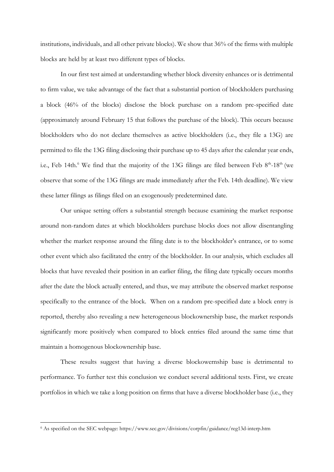institutions, individuals, and all other private blocks). We show that 36% of the firms with multiple blocks are held by at least two different types of blocks.

In our first test aimed at understanding whether block diversity enhances or is detrimental to firm value, we take advantage of the fact that a substantial portion of blockholders purchasing a block (46% of the blocks) disclose the block purchase on a random pre-specified date (approximately around February 15 that follows the purchase of the block). This occurs because blockholders who do not declare themselves as active blockholders (i.e., they file a 13G) are permitted to file the 13G filing disclosing their purchase up to 45 days after the calendar year ends, i.e., Feb 14th. $^6$  We find that the majority of the 13G filings are filed between Feb  $8<sup>th</sup>$ -18<sup>th</sup> (we observe that some of the 13G filings are made immediately after the Feb. 14th deadline). We view these latter filings as filings filed on an exogenously predetermined date.

Our unique setting offers a substantial strength because examining the market response around non-random dates at which blockholders purchase blocks does not allow disentangling whether the market response around the filing date is to the blockholder's entrance, or to some other event which also facilitated the entry of the blockholder. In our analysis, which excludes all blocks that have revealed their position in an earlier filing, the filing date typically occurs months after the date the block actually entered, and thus, we may attribute the observed market response specifically to the entrance of the block. When on a random pre-specified date a block entry is reported, thereby also revealing a new heterogeneous blockownership base, the market responds significantly more positively when compared to block entries filed around the same time that maintain a homogenous blockownership base.

These results suggest that having a diverse blockowernship base is detrimental to performance. To further test this conclusion we conduct several additional tests. First, we create portfolios in which we take a long position on firms that have a diverse blockholder base (i.e., they

1

<sup>6</sup> As specified on the SEC webpage: https://www.sec.gov/divisions/corpfin/guidance/reg13d-interp.htm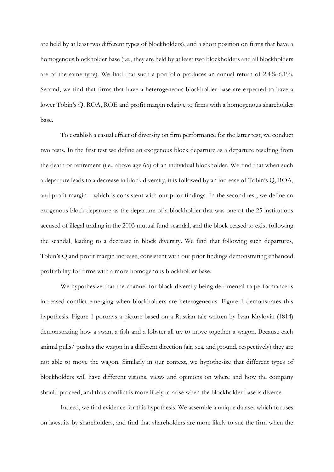are held by at least two different types of blockholders), and a short position on firms that have a homogenous blockholder base (i.e., they are held by at least two blockholders and all blockholders are of the same type). We find that such a portfolio produces an annual return of 2.4%-6.1%. Second, we find that firms that have a heterogeneous blockholder base are expected to have a lower Tobin's Q, ROA, ROE and profit margin relative to firms with a homogenous shareholder base.

To establish a casual effect of diversity on firm performance for the latter test, we conduct two tests. In the first test we define an exogenous block departure as a departure resulting from the death or retirement (i.e., above age 65) of an individual blockholder. We find that when such a departure leads to a decrease in block diversity, it is followed by an increase of Tobin's Q, ROA, and profit margin—which is consistent with our prior findings. In the second test, we define an exogenous block departure as the departure of a blockholder that was one of the 25 institutions accused of illegal trading in the 2003 mutual fund scandal, and the block ceased to exist following the scandal, leading to a decrease in block diversity. We find that following such departures, Tobin's Q and profit margin increase, consistent with our prior findings demonstrating enhanced profitability for firms with a more homogenous blockholder base.

We hypothesize that the channel for block diversity being detrimental to performance is increased conflict emerging when blockholders are heterogeneous. Figure 1 demonstrates this hypothesis. Figure 1 portrays a picture based on a Russian tale written by Ivan Krylovin (1814) demonstrating how a swan, a fish and a lobster all try to move together a wagon. Because each animal pulls/ pushes the wagon in a different direction (air, sea, and ground, respectively) they are not able to move the wagon. Similarly in our context, we hypothesize that different types of blockholders will have different visions, views and opinions on where and how the company should proceed, and thus conflict is more likely to arise when the blockholder base is diverse.

Indeed, we find evidence for this hypothesis. We assemble a unique dataset which focuses on lawsuits by shareholders, and find that shareholders are more likely to sue the firm when the